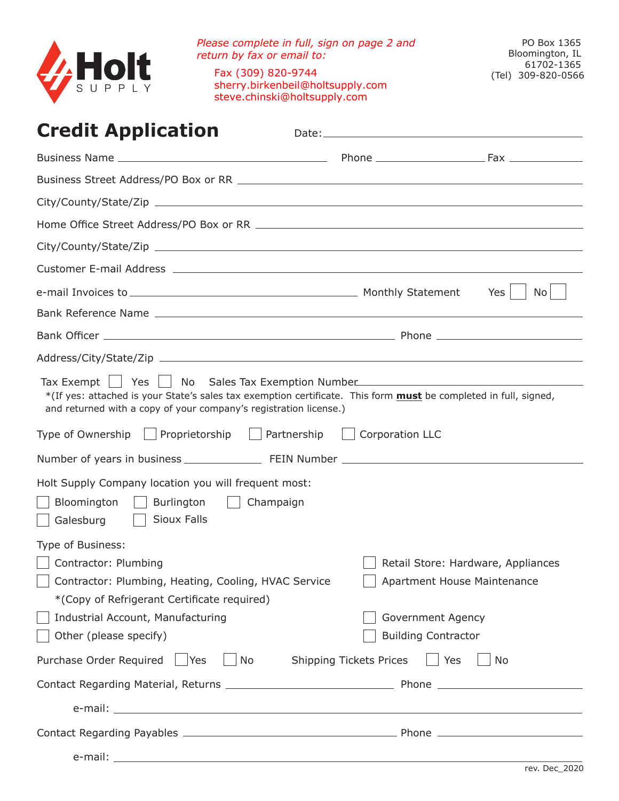

*Please complete in full, sign on page 2 and return by fax or email to:* Fax (309) 820-9744 sherry.birkenbeil@holtsupply.com steve.chinski@holtsupply.com

# **Credit Application**

| <b>CIGUIL Application</b>                                                                                                                                                                                                                                                                                       | Date: will be a series of the contract of the contract of the contract of the contract of the contract of the c |                                                                   |
|-----------------------------------------------------------------------------------------------------------------------------------------------------------------------------------------------------------------------------------------------------------------------------------------------------------------|-----------------------------------------------------------------------------------------------------------------|-------------------------------------------------------------------|
|                                                                                                                                                                                                                                                                                                                 |                                                                                                                 |                                                                   |
|                                                                                                                                                                                                                                                                                                                 |                                                                                                                 |                                                                   |
|                                                                                                                                                                                                                                                                                                                 |                                                                                                                 |                                                                   |
|                                                                                                                                                                                                                                                                                                                 |                                                                                                                 |                                                                   |
|                                                                                                                                                                                                                                                                                                                 |                                                                                                                 |                                                                   |
|                                                                                                                                                                                                                                                                                                                 |                                                                                                                 |                                                                   |
|                                                                                                                                                                                                                                                                                                                 |                                                                                                                 | No <sub>1</sub><br>Yes                                            |
|                                                                                                                                                                                                                                                                                                                 |                                                                                                                 |                                                                   |
|                                                                                                                                                                                                                                                                                                                 |                                                                                                                 |                                                                   |
|                                                                                                                                                                                                                                                                                                                 |                                                                                                                 |                                                                   |
| Tax Exempt   Yes   No Sales Tax Exemption Number<br>*(If yes: attached is your State's sales tax exemption certificate. This form must be completed in full, signed,<br>and returned with a copy of your company's registration license.)<br>Type of Ownership   Proprietorship   Partnership   Corporation LLC |                                                                                                                 |                                                                   |
|                                                                                                                                                                                                                                                                                                                 |                                                                                                                 |                                                                   |
|                                                                                                                                                                                                                                                                                                                 |                                                                                                                 |                                                                   |
| Holt Supply Company location you will frequent most:<br>Bloomington<br>  Burlington   Champaign<br>Sioux Falls<br>Galesburg                                                                                                                                                                                     |                                                                                                                 |                                                                   |
| Type of Business:                                                                                                                                                                                                                                                                                               |                                                                                                                 |                                                                   |
| Contractor: Plumbing<br>Contractor: Plumbing, Heating, Cooling, HVAC Service<br>*(Copy of Refrigerant Certificate required)<br>Industrial Account, Manufacturing                                                                                                                                                | Government Agency                                                                                               | Retail Store: Hardware, Appliances<br>Apartment House Maintenance |
| Other (please specify)                                                                                                                                                                                                                                                                                          | <b>Building Contractor</b>                                                                                      |                                                                   |
| Purchase Order Required   Yes<br>$\vert$ No $\vert$                                                                                                                                                                                                                                                             | Shipping Tickets Prices     Yes                                                                                 | No                                                                |
|                                                                                                                                                                                                                                                                                                                 |                                                                                                                 |                                                                   |
|                                                                                                                                                                                                                                                                                                                 |                                                                                                                 |                                                                   |
| e-mail: entrance and a series of the series of the series of the series of the series of the series of the series of the series of the series of the series of the series of the series of the series of the series of the ser                                                                                  |                                                                                                                 |                                                                   |
|                                                                                                                                                                                                                                                                                                                 |                                                                                                                 |                                                                   |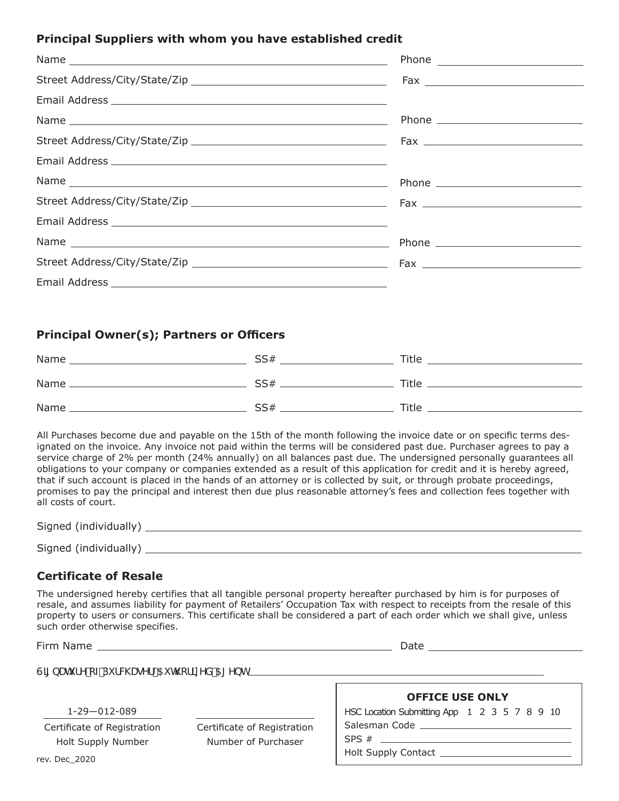# **Principal Suppliers with whom you have established credit**

# **Principal Owner(s); Partners or Officers**

| Name | SS# | Title        |
|------|-----|--------------|
| Name | SS# | <b>Title</b> |
| Name | SS# | Title        |

All Purchases become due and payable on the 15th of the month following the invoice date or on specific terms designated on the invoice. Any invoice not paid within the terms will be considered past due. Purchaser agrees to pay a service charge of 2% per month (24% annually) on all balances past due. The undersigned personally guarantees all obligations to your company or companies extended as a result of this application for credit and it is hereby agreed, that if such account is placed in the hands of an attorney or is collected by suit, or through probate proceedings, promises to pay the principal and interest then due plus reasonable attorney's fees and collection fees together with all costs of court.

| Signed (individually) |  |  |  |  |
|-----------------------|--|--|--|--|
| Signed (individually) |  |  |  |  |

# **Certificate of Resale**

The undersigned hereby certifies that all tangible personal property hereafter purchased by him is for purposes of resale, and assumes liability for payment of Retailers' Occupation Tax with respect to receipts from the resale of this property to users or consumers. This certificate shall be considered a part of each order which we shall give, unless such order otherwise specifies.

Firm Name Latter and the state of the state of the state of the Date Date of the State of the State of the State of the State of the State of the State of the State of the State of the State of the State of the State of th

6LJQDWXUHRI3XUFKDVHU\$XWKRUL]HG\$JHQW

1-29—012-089

Certificate of Registration Holt Supply Number

Certificate of Registration Number of Purchaser

| <b>OFFICE USE ONLY</b>                       |  |  |  |  |  |  |  |  |  |
|----------------------------------------------|--|--|--|--|--|--|--|--|--|
| HSC Location Submitting App 1 2 3 5 7 8 9 10 |  |  |  |  |  |  |  |  |  |
| Salesman Code                                |  |  |  |  |  |  |  |  |  |

 $SPS # \_$ 

Holt Supply Contact

rev. Dec\_2020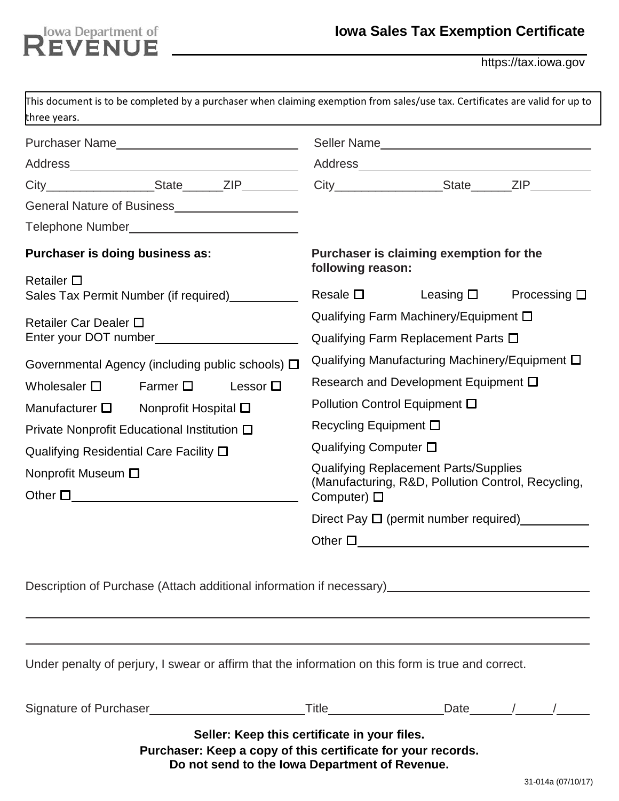# REVENUE

https://tax.iowa.gov

| three years.                                                           |                  |                                                                                                                                                                |                                                                                                                        | This document is to be completed by a purchaser when claiming exemption from sales/use tax. Certificates are valid for up to                        |                                        |  |  |
|------------------------------------------------------------------------|------------------|----------------------------------------------------------------------------------------------------------------------------------------------------------------|------------------------------------------------------------------------------------------------------------------------|-----------------------------------------------------------------------------------------------------------------------------------------------------|----------------------------------------|--|--|
|                                                                        |                  |                                                                                                                                                                |                                                                                                                        |                                                                                                                                                     |                                        |  |  |
|                                                                        |                  |                                                                                                                                                                |                                                                                                                        |                                                                                                                                                     |                                        |  |  |
|                                                                        |                  |                                                                                                                                                                |                                                                                                                        | City____________________State_______ZIP____________City__________________State_______ZIP___________                                                 |                                        |  |  |
| General Nature of Business<br><u>Canadian Community</u>                |                  |                                                                                                                                                                |                                                                                                                        |                                                                                                                                                     |                                        |  |  |
|                                                                        |                  |                                                                                                                                                                |                                                                                                                        |                                                                                                                                                     |                                        |  |  |
| Purchaser is doing business as:                                        |                  |                                                                                                                                                                | Purchaser is claiming exemption for the<br>following reason:                                                           |                                                                                                                                                     |                                        |  |  |
| Retailer $\square$<br>Sales Tax Permit Number (if required) __________ |                  |                                                                                                                                                                | Resale $\square$                                                                                                       |                                                                                                                                                     | Leasing $\square$ Processing $\square$ |  |  |
| Retailer Car Dealer $\square$                                          |                  |                                                                                                                                                                | Qualifying Farm Machinery/Equipment □<br>Qualifying Farm Replacement Parts $\square$                                   |                                                                                                                                                     |                                        |  |  |
| Governmental Agency (including public schools) $\Box$                  |                  |                                                                                                                                                                | Qualifying Manufacturing Machinery/Equipment $\square$                                                                 |                                                                                                                                                     |                                        |  |  |
| Wholesaler $\square$                                                   | Farmer $\square$ | Lessor $\square$                                                                                                                                               |                                                                                                                        | Research and Development Equipment $\square$                                                                                                        |                                        |  |  |
| Manufacturer $\square$ Nonprofit Hospital $\square$                    |                  |                                                                                                                                                                | Pollution Control Equipment □                                                                                          |                                                                                                                                                     |                                        |  |  |
| Private Nonprofit Educational Institution $\square$                    |                  |                                                                                                                                                                | Recycling Equipment □                                                                                                  |                                                                                                                                                     |                                        |  |  |
| Qualifying Residential Care Facility $\square$                         |                  |                                                                                                                                                                | Qualifying Computer $\square$                                                                                          |                                                                                                                                                     |                                        |  |  |
| Nonprofit Museum □<br>Other $\square$                                  |                  |                                                                                                                                                                | <b>Qualifying Replacement Parts/Supplies</b><br>(Manufacturing, R&D, Pollution Control, Recycling,<br>Computer) $\Box$ |                                                                                                                                                     |                                        |  |  |
|                                                                        |                  |                                                                                                                                                                |                                                                                                                        | Direct Pay $\Box$ (permit number required)                                                                                                          |                                        |  |  |
|                                                                        |                  |                                                                                                                                                                | Other $\square$                                                                                                        |                                                                                                                                                     |                                        |  |  |
|                                                                        |                  |                                                                                                                                                                |                                                                                                                        | Description of Purchase (Attach additional information if necessary)<br><u>Description of Purchase (Attach additional information if necessary)</u> |                                        |  |  |
|                                                                        |                  |                                                                                                                                                                |                                                                                                                        | Under penalty of perjury, I swear or affirm that the information on this form is true and correct.                                                  |                                        |  |  |
|                                                                        |                  |                                                                                                                                                                |                                                                                                                        | Signature of Purchaser _________________________________Title___________________Date_______/______/_______                                          |                                        |  |  |
|                                                                        |                  | Seller: Keep this certificate in your files.<br>Purchaser: Keep a copy of this certificate for your records.<br>Do not send to the lowa Department of Revenue. |                                                                                                                        |                                                                                                                                                     | 31-014a (07/10/17)                     |  |  |